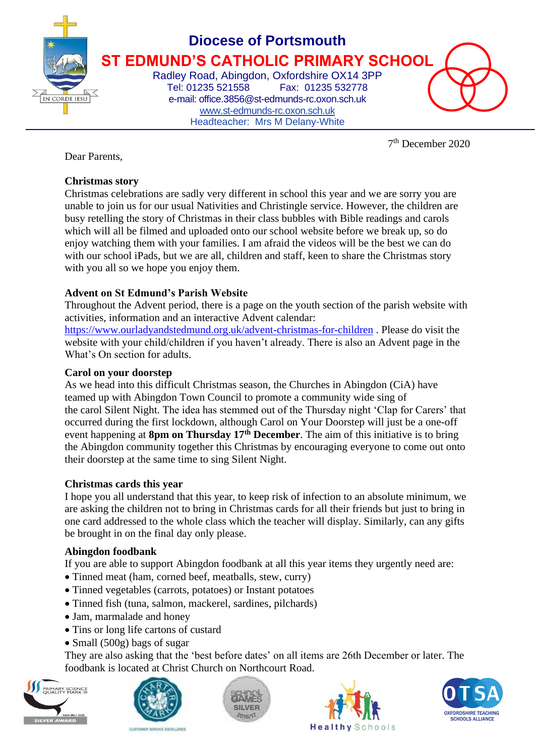

# **Diocese of Portsmouth ST EDMUND'S CATHOLIC PRIMARY SCHOOL**

Radley Road, Abingdon, Oxfordshire OX14 3PP Fax: 01235 532778 e-mail: office.3856@st-edmunds-rc.oxon.sch.uk [www.st-edmunds-rc.oxon.sch.uk](http://www.st-edmunds-rc.oxon.sch.uk/) Headteacher: Mrs M Delany-White

7 th December 2020

Dear Parents,

#### **Christmas story**

Christmas celebrations are sadly very different in school this year and we are sorry you are unable to join us for our usual Nativities and Christingle service. However, the children are busy retelling the story of Christmas in their class bubbles with Bible readings and carols which will all be filmed and uploaded onto our school website before we break up, so do enjoy watching them with your families. I am afraid the videos will be the best we can do with our school iPads, but we are all, children and staff, keen to share the Christmas story with you all so we hope you enjoy them.

#### **Advent on St Edmund's Parish Website**

Throughout the Advent period, there is a page on the youth section of the parish website with activities, information and an interactive Advent calendar:

<https://www.ourladyandstedmund.org.uk/advent-christmas-for-children> . Please do visit the website with your child/children if you haven't already. There is also an Advent page in the What's On section for adults.

#### **Carol on your doorstep**

As we head into this difficult Christmas season, the Churches in Abingdon (CiA) have teamed up with Abingdon Town Council to promote a community wide sing of the carol Silent Night. The idea has stemmed out of the Thursday night 'Clap for Carers' that occurred during the first lockdown, although Carol on Your Doorstep will just be a one-off event happening at **8pm on Thursday 17th December**. The aim of this initiative is to bring the Abingdon community together this Christmas by encouraging everyone to come out onto their doorstep at the same time to sing Silent Night.

#### **Christmas cards this year**

I hope you all understand that this year, to keep risk of infection to an absolute minimum, we are asking the children not to bring in Christmas cards for all their friends but just to bring in one card addressed to the whole class which the teacher will display. Similarly, can any gifts be brought in on the final day only please.

#### **Abingdon foodbank**

If you are able to support Abingdon foodbank at all this year items they urgently need are:

- Tinned meat (ham, corned beef, meatballs, stew, curry)
- Tinned vegetables (carrots, potatoes) or Instant potatoes
- Tinned fish (tuna, salmon, mackerel, sardines, pilchards)
- Jam, marmalade and honey
- Tins or long life cartons of custard
- Small (500g) bags of sugar

They are also asking that the 'best before dates' on all items are 26th December or later. The foodbank is located at Christ Church on Northcourt Road.









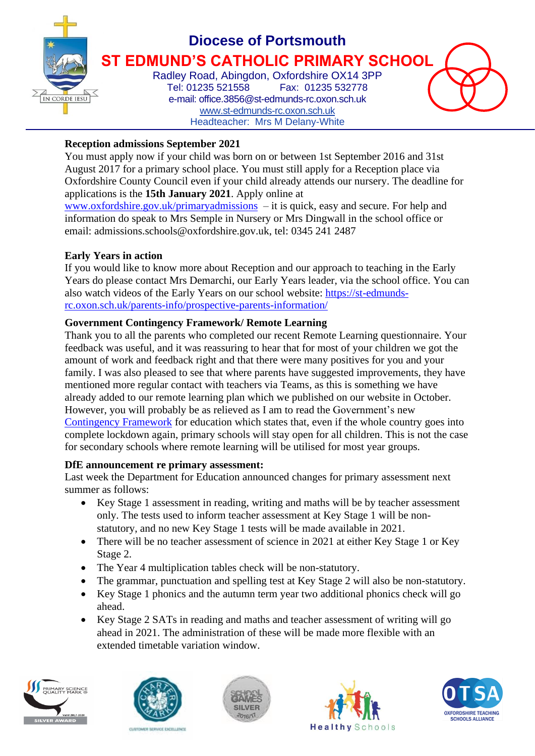

### **Diocese of Portsmouth ST EDMUND'S CATHOLIC PRIMARY SCHOOL**

Radley Road, Abingdon, Oxfordshire OX14 3PP Tel: 01235 521558 Fax: 01235 532778 e-mail: office.3856@st-edmunds-rc.oxon.sch.uk [www.st-edmunds-rc.oxon.sch.uk](http://www.st-edmunds-rc.oxon.sch.uk/) Headteacher: Mrs M Delany-White

#### **Reception admissions September 2021**

You must apply now if your child was born on or between 1st September 2016 and 31st August 2017 for a primary school place. You must still apply for a Reception place via Oxfordshire County Council even if your child already attends our nursery. The deadline for applications is the **15th January 2021**. Apply online at

[www.oxfordshire.gov.uk/primaryadmissions](http://www.oxfordshire.gov.uk/primaryadmissions) – it is quick, easy and secure. For help and information do speak to Mrs Semple in Nursery or Mrs Dingwall in the school office or email: admissions.schools@oxfordshire.gov.uk, tel: 0345 241 2487

#### **Early Years in action**

If you would like to know more about Reception and our approach to teaching in the Early Years do please contact Mrs Demarchi, our Early Years leader, via the school office. You can also watch videos of the Early Years on our school website: [https://st-edmunds](https://st-edmunds-rc.oxon.sch.uk/parents-info/prospective-parents-information/)[rc.oxon.sch.uk/parents-info/prospective-parents-information/](https://st-edmunds-rc.oxon.sch.uk/parents-info/prospective-parents-information/)

#### **Government Contingency Framework/ Remote Learning**

Thank you to all the parents who completed our recent Remote Learning questionnaire. Your feedback was useful, and it was reassuring to hear that for most of your children we got the amount of work and feedback right and that there were many positives for you and your family. I was also pleased to see that where parents have suggested improvements, they have mentioned more regular contact with teachers via Teams, as this is something we have already added to our remote learning plan which we published on our website in October. However, you will probably be as relieved as I am to read the Government's new [Contingency](https://www.gov.uk/government/publications/coronavirus-covid-19-contingency-framework-for-education-and-childcare-settings/contingency-framework-education-and-childcare-settings-excluding-universities) Framework for education which states that, even if the whole country goes into complete lockdown again, primary schools will stay open for all children. This is not the case for secondary schools where remote learning will be utilised for most year groups.

#### **DfE announcement re primary assessment:**

Last week the Department for Education announced changes for primary assessment next summer as follows:

- Key Stage 1 assessment in reading, writing and maths will be by teacher assessment only. The tests used to inform teacher assessment at Key Stage 1 will be nonstatutory, and no new Key Stage 1 tests will be made available in 2021.
- There will be no teacher assessment of science in 2021 at either Key Stage 1 or Key Stage 2.
- The Year 4 multiplication tables check will be non-statutory.
- The grammar, punctuation and spelling test at Key Stage 2 will also be non-statutory.
- Key Stage 1 phonics and the autumn term year two additional phonics check will go ahead.
- Key Stage 2 SATs in reading and maths and teacher assessment of writing will go ahead in 2021. The administration of these will be made more flexible with an extended timetable variation window.